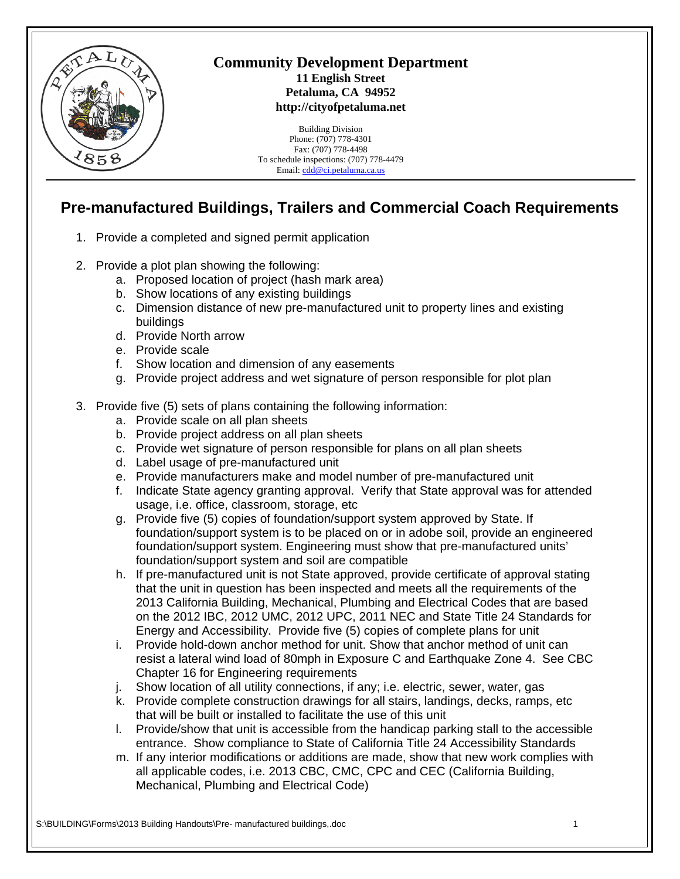